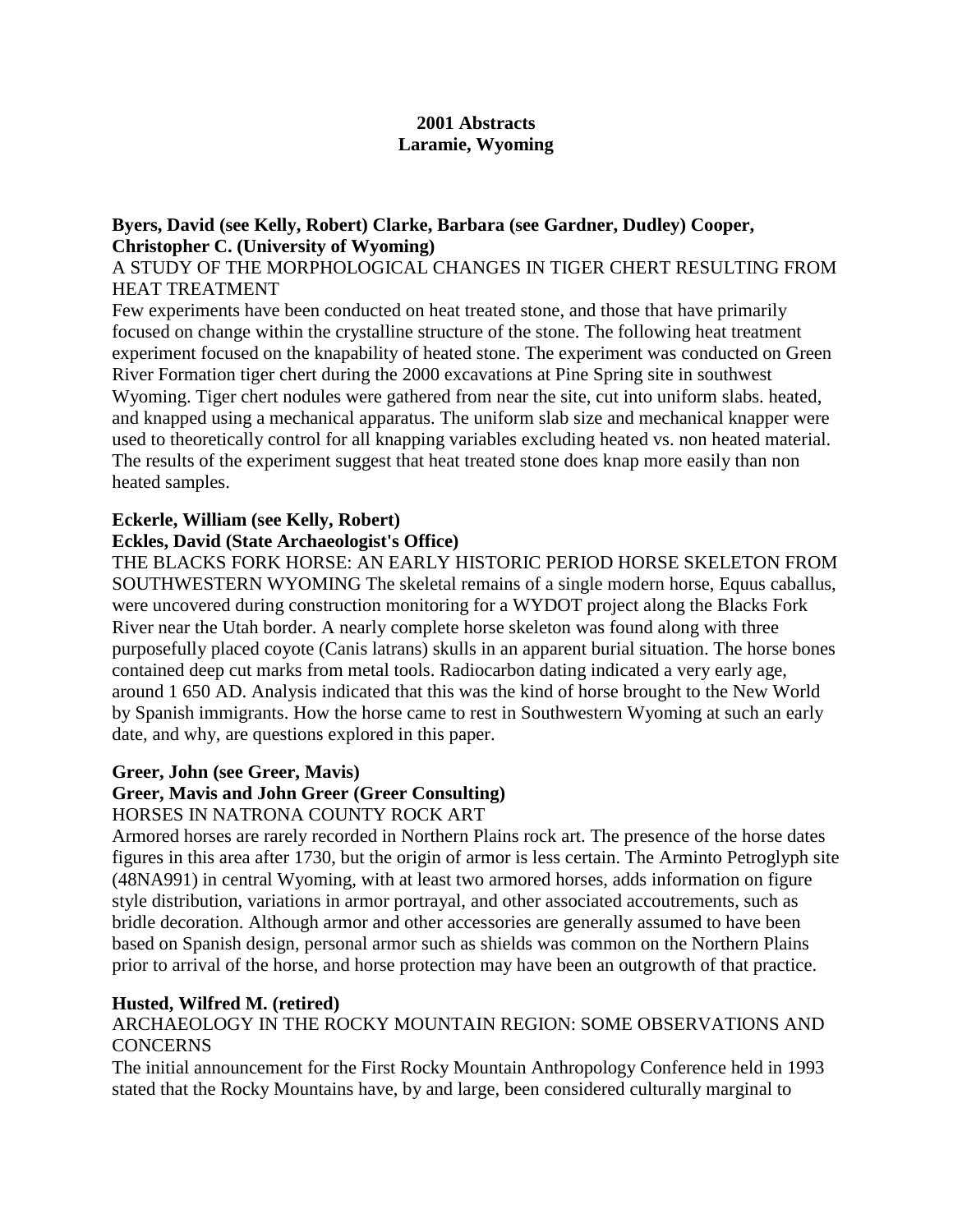# **2001 Abstracts Laramie, Wyoming**

# **Byers, David (see Kelly, Robert) Clarke, Barbara (see Gardner, Dudley) Cooper, Christopher C. (University of Wyoming)**

#### A STUDY OF THE MORPHOLOGICAL CHANGES IN TIGER CHERT RESULTING FROM HEAT TREATMENT

Few experiments have been conducted on heat treated stone, and those that have primarily focused on change within the crystalline structure of the stone. The following heat treatment experiment focused on the knapability of heated stone. The experiment was conducted on Green River Formation tiger chert during the 2000 excavations at Pine Spring site in southwest Wyoming. Tiger chert nodules were gathered from near the site, cut into uniform slabs. heated, and knapped using a mechanical apparatus. The uniform slab size and mechanical knapper were used to theoretically control for all knapping variables excluding heated vs. non heated material. The results of the experiment suggest that heat treated stone does knap more easily than non heated samples.

# **Eckerle, William (see Kelly, Robert)**

# **Eckles, David (State Archaeologist's Office)**

THE BLACKS FORK HORSE: AN EARLY HISTORIC PERIOD HORSE SKELETON FROM SOUTHWESTERN WYOMING The skeletal remains of a single modern horse, Equus caballus, were uncovered during construction monitoring for a WYDOT project along the Blacks Fork River near the Utah border. A nearly complete horse skeleton was found along with three purposefully placed coyote (Canis latrans) skulls in an apparent burial situation. The horse bones contained deep cut marks from metal tools. Radiocarbon dating indicated a very early age, around 1 650 AD. Analysis indicated that this was the kind of horse brought to the New World by Spanish immigrants. How the horse came to rest in Southwestern Wyoming at such an early date, and why, are questions explored in this paper.

#### **Greer, John (see Greer, Mavis)**

# **Greer, Mavis and John Greer (Greer Consulting)**

#### HORSES IN NATRONA COUNTY ROCK ART

Armored horses are rarely recorded in Northern Plains rock art. The presence of the horse dates figures in this area after 1730, but the origin of armor is less certain. The Arminto Petroglyph site (48NA991) in central Wyoming, with at least two armored horses, adds information on figure style distribution, variations in armor portrayal, and other associated accoutrements, such as bridle decoration. Although armor and other accessories are generally assumed to have been based on Spanish design, personal armor such as shields was common on the Northern Plains prior to arrival of the horse, and horse protection may have been an outgrowth of that practice.

#### **Husted, Wilfred M. (retired)**

# ARCHAEOLOGY IN THE ROCKY MOUNTAIN REGION: SOME OBSERVATIONS AND **CONCERNS**

The initial announcement for the First Rocky Mountain Anthropology Conference held in 1993 stated that the Rocky Mountains have, by and large, been considered culturally marginal to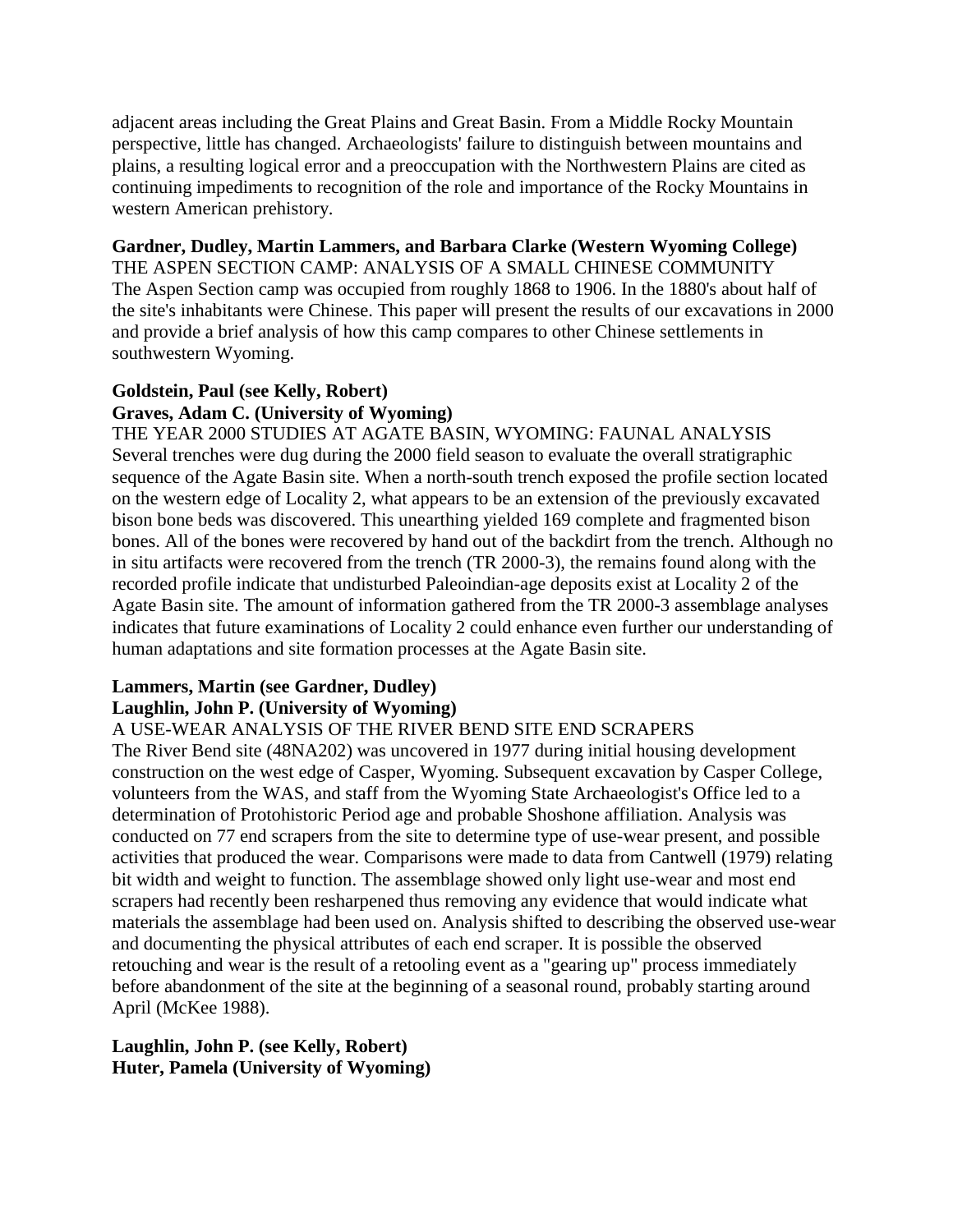adjacent areas including the Great Plains and Great Basin. From a Middle Rocky Mountain perspective, little has changed. Archaeologists' failure to distinguish between mountains and plains, a resulting logical error and a preoccupation with the Northwestern Plains are cited as continuing impediments to recognition of the role and importance of the Rocky Mountains in western American prehistory.

#### **Gardner, Dudley, Martin Lammers, and Barbara Clarke (Western Wyoming College)**

THE ASPEN SECTION CAMP: ANALYSIS OF A SMALL CHINESE COMMUNITY The Aspen Section camp was occupied from roughly 1868 to 1906. In the 1880's about half of the site's inhabitants were Chinese. This paper will present the results of our excavations in 2000 and provide a brief analysis of how this camp compares to other Chinese settlements in southwestern Wyoming.

# **Goldstein, Paul (see Kelly, Robert) Graves, Adam C. (University of Wyoming)**

THE YEAR 2000 STUDIES AT AGATE BASIN, WYOMING: FAUNAL ANALYSIS Several trenches were dug during the 2000 field season to evaluate the overall stratigraphic sequence of the Agate Basin site. When a north-south trench exposed the profile section located on the western edge of Locality 2, what appears to be an extension of the previously excavated bison bone beds was discovered. This unearthing yielded 169 complete and fragmented bison bones. All of the bones were recovered by hand out of the backdirt from the trench. Although no in situ artifacts were recovered from the trench (TR 2000-3), the remains found along with the recorded profile indicate that undisturbed Paleoindian-age deposits exist at Locality 2 of the Agate Basin site. The amount of information gathered from the TR 2000-3 assemblage analyses indicates that future examinations of Locality 2 could enhance even further our understanding of human adaptations and site formation processes at the Agate Basin site.

#### **Lammers, Martin (see Gardner, Dudley) Laughlin, John P. (University of Wyoming)**

# A USE-WEAR ANALYSIS OF THE RIVER BEND SITE END SCRAPERS

The River Bend site (48NA202) was uncovered in 1977 during initial housing development construction on the west edge of Casper, Wyoming. Subsequent excavation by Casper College, volunteers from the WAS, and staff from the Wyoming State Archaeologist's Office led to a determination of Protohistoric Period age and probable Shoshone affiliation. Analysis was conducted on 77 end scrapers from the site to determine type of use-wear present, and possible activities that produced the wear. Comparisons were made to data from Cantwell (1979) relating bit width and weight to function. The assemblage showed only light use-wear and most end scrapers had recently been resharpened thus removing any evidence that would indicate what materials the assemblage had been used on. Analysis shifted to describing the observed use-wear and documenting the physical attributes of each end scraper. It is possible the observed retouching and wear is the result of a retooling event as a "gearing up" process immediately before abandonment of the site at the beginning of a seasonal round, probably starting around April (McKee 1988).

**Laughlin, John P. (see Kelly, Robert) Huter, Pamela (University of Wyoming)**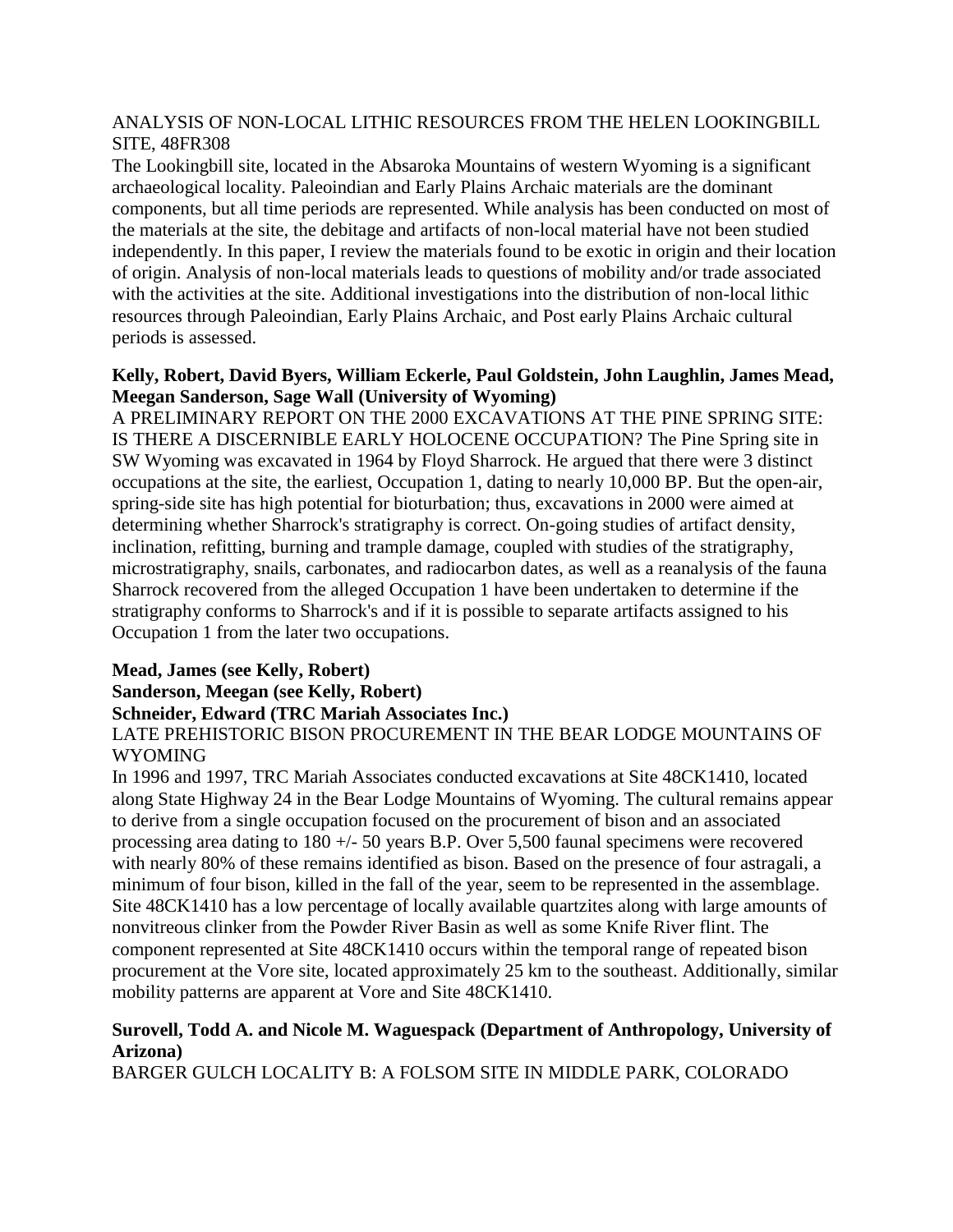# ANALYSIS OF NON-LOCAL LITHIC RESOURCES FROM THE HELEN LOOKINGBILL SITE, 48FR308

The Lookingbill site, located in the Absaroka Mountains of western Wyoming is a significant archaeological locality. Paleoindian and Early Plains Archaic materials are the dominant components, but all time periods are represented. While analysis has been conducted on most of the materials at the site, the debitage and artifacts of non-local material have not been studied independently. In this paper, I review the materials found to be exotic in origin and their location of origin. Analysis of non-local materials leads to questions of mobility and/or trade associated with the activities at the site. Additional investigations into the distribution of non-local lithic resources through Paleoindian, Early Plains Archaic, and Post early Plains Archaic cultural periods is assessed.

# **Kelly, Robert, David Byers, William Eckerle, Paul Goldstein, John Laughlin, James Mead, Meegan Sanderson, Sage Wall (University of Wyoming)**

A PRELIMINARY REPORT ON THE 2000 EXCAVATIONS AT THE PINE SPRING SITE: IS THERE A DISCERNIBLE EARLY HOLOCENE OCCUPATION? The Pine Spring site in SW Wyoming was excavated in 1964 by Floyd Sharrock. He argued that there were 3 distinct occupations at the site, the earliest, Occupation 1, dating to nearly 10,000 BP. But the open-air, spring-side site has high potential for bioturbation; thus, excavations in 2000 were aimed at determining whether Sharrock's stratigraphy is correct. On-going studies of artifact density, inclination, refitting, burning and trample damage, coupled with studies of the stratigraphy, microstratigraphy, snails, carbonates, and radiocarbon dates, as well as a reanalysis of the fauna Sharrock recovered from the alleged Occupation 1 have been undertaken to determine if the stratigraphy conforms to Sharrock's and if it is possible to separate artifacts assigned to his Occupation 1 from the later two occupations.

#### **Mead, James (see Kelly, Robert) Sanderson, Meegan (see Kelly, Robert) Schneider, Edward (TRC Mariah Associates Inc.)**

LATE PREHISTORIC BISON PROCUREMENT IN THE BEAR LODGE MOUNTAINS OF WYOMING

In 1996 and 1997, TRC Mariah Associates conducted excavations at Site 48CK1410, located along State Highway 24 in the Bear Lodge Mountains of Wyoming. The cultural remains appear to derive from a single occupation focused on the procurement of bison and an associated processing area dating to 180 +/- 50 years B.P. Over 5,500 faunal specimens were recovered with nearly 80% of these remains identified as bison. Based on the presence of four astragali, a minimum of four bison, killed in the fall of the year, seem to be represented in the assemblage. Site 48CK1410 has a low percentage of locally available quartzites along with large amounts of nonvitreous clinker from the Powder River Basin as well as some Knife River flint. The component represented at Site 48CK1410 occurs within the temporal range of repeated bison procurement at the Vore site, located approximately 25 km to the southeast. Additionally, similar mobility patterns are apparent at Vore and Site 48CK1410.

# **Surovell, Todd A. and Nicole M. Waguespack (Department of Anthropology, University of Arizona)**

BARGER GULCH LOCALITY B: A FOLSOM SITE IN MIDDLE PARK, COLORADO